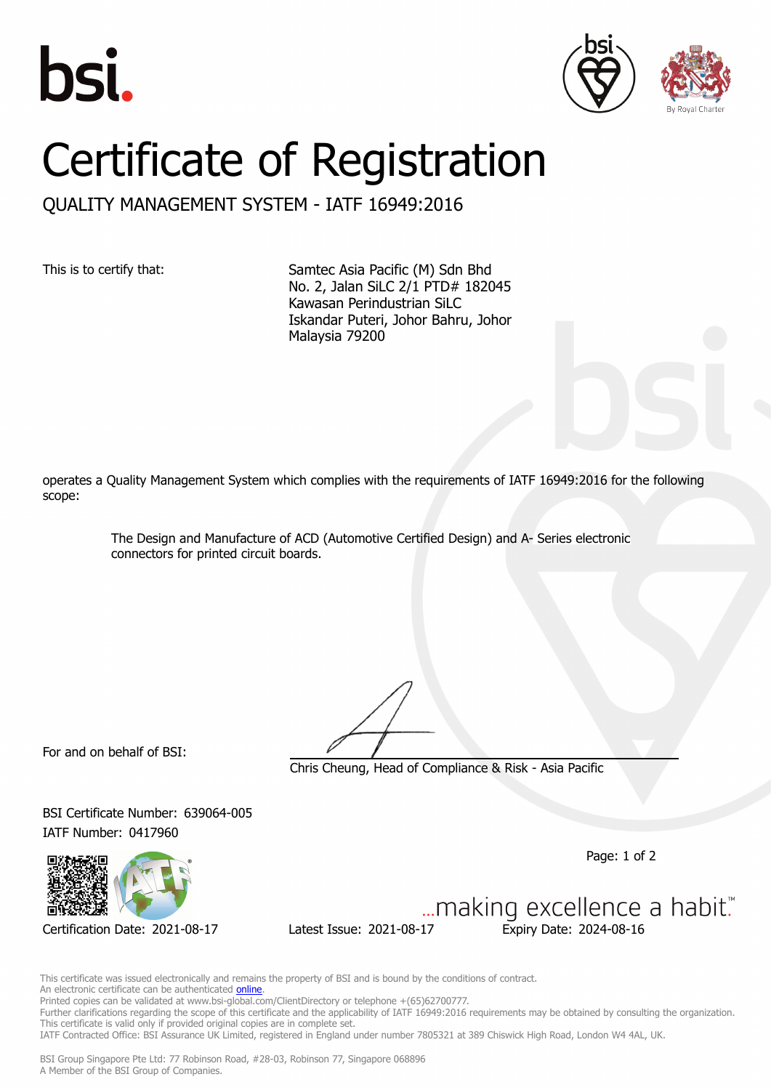





## Certificate of Registration

QUALITY MANAGEMENT SYSTEM - IATF 16949:2016

This is to certify that: Samtec Asia Pacific (M) Sdn Bhd No. 2, Jalan SiLC 2/1 PTD# 182045 Kawasan Perindustrian SiLC Iskandar Puteri, Johor Bahru, Johor Malaysia 79200

operates a Quality Management System which complies with the requirements of IATF 16949:2016 for the following scope:

> The Design and Manufacture of ACD (Automotive Certified Design) and A- Series electronic connectors for printed circuit boards.

For and on behalf of BSI:

Chris Cheung, Head of Compliance & Risk - Asia Pacific

BSI Certificate Number: 639064-005 IATF Number: 0417960

Page: 1 of 2

Certification Date: 2021-08-17 Latest Issue: 2021-08-17 Expiry Date: 2024-08-16

... making excellence a habit."

This certificate was issued electronically and remains the property of BSI and is bound by the conditions of contract. An electronic certificate can be authenticated **[online](https://pgplus.bsigroup.com/CertificateValidation/CertificateValidator.aspx?CertificateNumber=IATF+639064-005&ReIssueDate=17%2f08%2f2021&Template=sing_en)**. Printed copies can be validated at www.bsi-global.com/ClientDirectory or telephone +(65)62700777. Further clarifications regarding the scope of this certificate and the applicability of IATF 16949:2016 requirements may be obtained by consulting the organization. This certificate is valid only if provided original copies are in complete set.

IATF Contracted Office: BSI Assurance UK Limited, registered in England under number 7805321 at 389 Chiswick High Road, London W4 4AL, UK.

BSI Group Singapore Pte Ltd: 77 Robinson Road, #28-03, Robinson 77, Singapore 068896 A Member of the BSI Group of Companies.